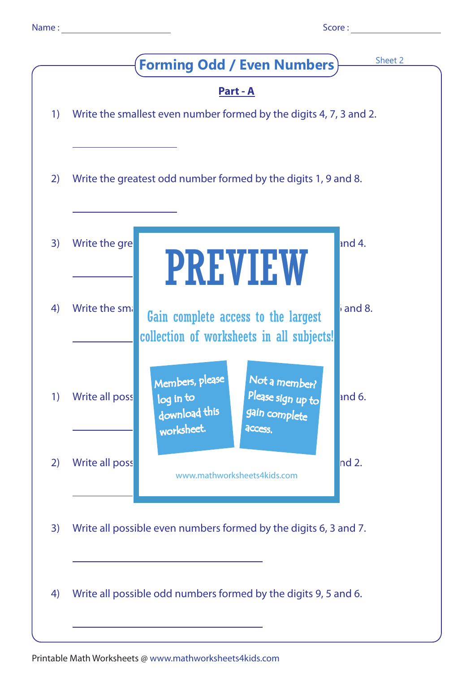